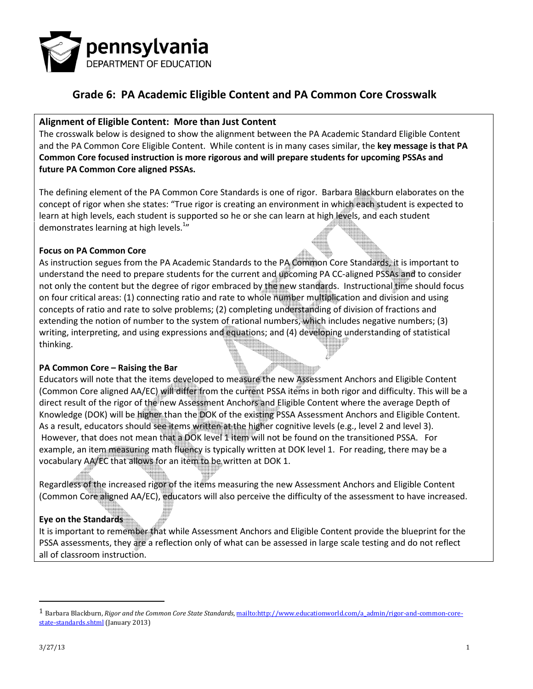

#### Alignment of Eligible Content: More than Just Content

The crosswalk below is designed to show the alignment between the PA Academic Standard Eligible Content and the PA Common Core Eligible Content. While content is in many cases similar, the key message is that PA Common Core focused instruction is more rigorous and will prepare students for upcoming PSSAs and future PA Common Core aligned PSSAs.

The defining element of the PA Common Core Standards is one of rigor. Barbara Blackburn elaborates on the concept of rigor when she states: "True rigor is creating an environment in which each student is expected to learn at high levels, each student is supported so he or she can learn at high levels, and each student demonstrates learning at high levels.<sup>1</sup>"

#### Focus on PA Common Core

As instruction segues from the PA Academic Standards to the PA Common Core Standards, it is important to understand the need to prepare students for the current and upcoming PA CC-aligned PSSAs and to consider not only the content but the degree of rigor embraced by the new standards. Instructional time should focus on four critical areas: (1) connecting ratio and rate to whole number multiplication and division and using concepts of ratio and rate to solve problems; (2) completing understanding of division of fractions and extending the notion of number to the system of rational numbers, which includes negative numbers; (3) writing, interpreting, and using expressions and equations; and (4) developing understanding of statistical thinking.

#### PA Common Core – Raising the Bar

Educators will note that the items developed to measure the new Assessment Anchors and Eligible Content (Common Core aligned AA/EC) will differ from the current PSSA items in both rigor and difficulty. This will be a direct result of the rigor of the new Assessment Anchors and Eligible Content where the average Depth of Knowledge (DOK) will be higher than the DOK of the existing PSSA Assessment Anchors and Eligible Content. As a result, educators should see items written at the higher cognitive levels (e.g., level 2 and level 3). However, that does not mean that a DOK level 1 item will not be found on the transitioned PSSA. For example, an item measuring math fluency is typically written at DOK level 1. For reading, there may be a vocabulary AA/EC that allows for an item to be written at DOK 1.

Regardless of the increased rigor of the items measuring the new Assessment Anchors and Eligible Content (Common Core aligned AA/EC), educators will also perceive the difficulty of the assessment to have increased.

#### Eye on the Standards

It is important to remember that while Assessment Anchors and Eligible Content provide the blueprint for the PSSA assessments, they are a reflection only of what can be assessed in large scale testing and do not reflect all of classroom instruction.

 $\overline{a}$ 

<sup>&</sup>lt;sup>1</sup> Barbara Blackburn, Rigor and the Common Core State Standards, mailto:http://www.educationworld.com/a\_admin/rigor-and-common-corestate-standards.shtml (January 2013)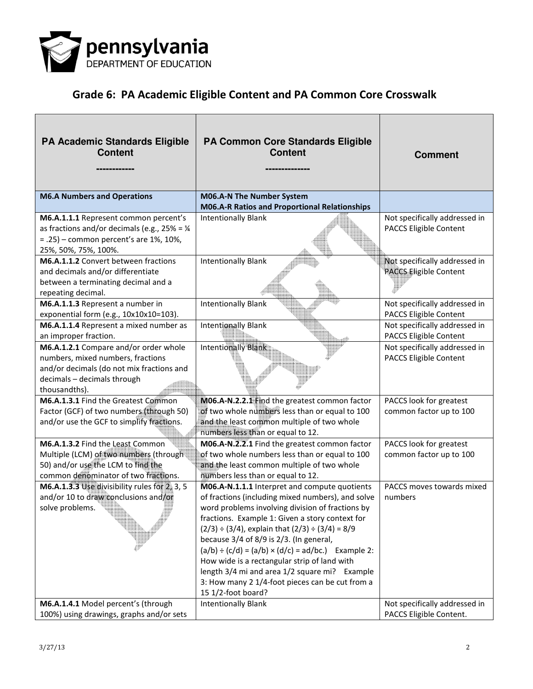

| <b>PA Academic Standards Eligible</b><br><b>Content</b>                                                                                                                 | <b>PA Common Core Standards Eligible</b><br><b>Content</b>                                                                                                                                                                                                                                                                                                                                                                                                                                                                                                    | <b>Comment</b>                                           |
|-------------------------------------------------------------------------------------------------------------------------------------------------------------------------|---------------------------------------------------------------------------------------------------------------------------------------------------------------------------------------------------------------------------------------------------------------------------------------------------------------------------------------------------------------------------------------------------------------------------------------------------------------------------------------------------------------------------------------------------------------|----------------------------------------------------------|
| <b>M6.A Numbers and Operations</b>                                                                                                                                      | M06.A-N The Number System<br>M06.A-R Ratios and Proportional Relationships                                                                                                                                                                                                                                                                                                                                                                                                                                                                                    |                                                          |
| M6.A.1.1.1 Represent common percent's<br>as fractions and/or decimals (e.g., $25\% = \frac{1}{4}$<br>$= .25$ ) – common percent's are 1%, 10%,<br>25%, 50%, 75%, 100%.  | <b>Intentionally Blank</b>                                                                                                                                                                                                                                                                                                                                                                                                                                                                                                                                    | Not specifically addressed in<br>PACCS Eligible Content  |
| M6.A.1.1.2 Convert between fractions<br>and decimals and/or differentiate<br>between a terminating decimal and a<br>repeating decimal.                                  | <b>Intentionally Blank</b>                                                                                                                                                                                                                                                                                                                                                                                                                                                                                                                                    | Not specifically addressed in<br>PACCS Eligible Content  |
| M6.A.1.1.3 Represent a number in<br>exponential form (e.g., 10x10x10=103).                                                                                              | <b>Intentionally Blank</b>                                                                                                                                                                                                                                                                                                                                                                                                                                                                                                                                    | Not specifically addressed in<br>PACCS Eligible Content  |
| M6.A.1.1.4 Represent a mixed number as<br>an improper fraction.                                                                                                         | <b>Intentionally Blank</b>                                                                                                                                                                                                                                                                                                                                                                                                                                                                                                                                    | Not specifically addressed in<br>PACCS Eligible Content  |
| M6.A.1.2.1 Compare and/or order whole<br>numbers, mixed numbers, fractions<br>and/or decimals (do not mix fractions and<br>decimals - decimals through<br>thousandths). | <b>Intentionally Blank</b>                                                                                                                                                                                                                                                                                                                                                                                                                                                                                                                                    | Not specifically addressed in<br>PACCS Eligible Content  |
| M6.A.1.3.1 Find the Greatest Common<br>Factor (GCF) of two numbers (through 50)<br>and/or use the GCF to simplify fractions.                                            | M06.A-N.2.2.1 Find the greatest common factor<br>of two whole numbers less than or equal to 100<br>and the least common multiple of two whole<br>numbers less than or equal to 12.                                                                                                                                                                                                                                                                                                                                                                            | PACCS look for greatest<br>common factor up to 100       |
| M6.A.1.3.2 Find the Least Common<br>Multiple (LCM) of two numbers (through<br>50) and/or use the LCM to find the<br>common denominator of two fractions.                | M06.A-N.2.2.1 Find the greatest common factor<br>of two whole numbers less than or equal to 100<br>and the least common multiple of two whole<br>numbers less than or equal to 12.                                                                                                                                                                                                                                                                                                                                                                            | PACCS look for greatest<br>common factor up to 100       |
| M6.A.1.3.3 Use divisibility rules for 2, 3, 5<br>and/or 10 to draw conclusions and/or<br>solve problems.                                                                | MO6.A-N.1.1.1 Interpret and compute quotients<br>of fractions (including mixed numbers), and solve<br>word problems involving division of fractions by<br>fractions. Example 1: Given a story context for<br>$(2/3) \div (3/4)$ , explain that $(2/3) \div (3/4) = 8/9$<br>because 3/4 of 8/9 is 2/3. (In general,<br>$(a/b) \div (c/d) = (a/b) \times (d/c) = ad/bc$ .) Example 2:<br>How wide is a rectangular strip of land with<br>length 3/4 mi and area 1/2 square mi? Example<br>3: How many 2 1/4-foot pieces can be cut from a<br>15 1/2-foot board? | PACCS moves towards mixed<br>numbers                     |
| M6.A.1.4.1 Model percent's (through<br>100%) using drawings, graphs and/or sets                                                                                         | <b>Intentionally Blank</b>                                                                                                                                                                                                                                                                                                                                                                                                                                                                                                                                    | Not specifically addressed in<br>PACCS Eligible Content. |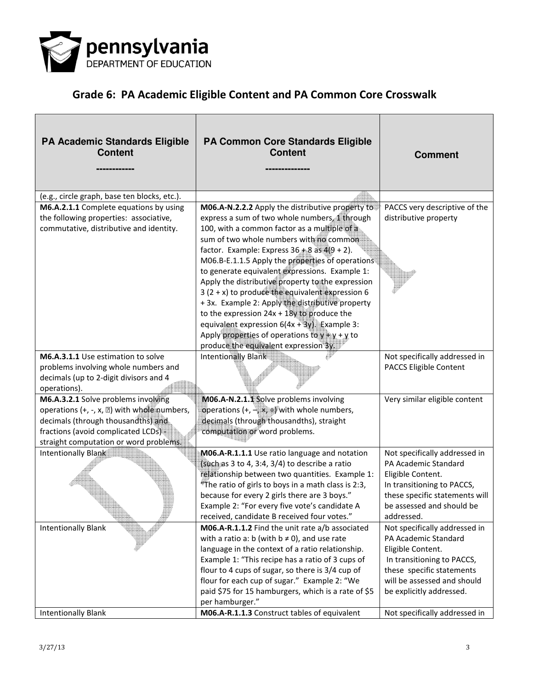

| <b>PA Academic Standards Eligible</b><br><b>Content</b>                                                                                                                                                    | PA Common Core Standards Eligible<br><b>Content</b>                                                                                                                                                                                                                                                                                                                                                                                                                                                                                                                   | <b>Comment</b>                                                                                                                                                                                          |
|------------------------------------------------------------------------------------------------------------------------------------------------------------------------------------------------------------|-----------------------------------------------------------------------------------------------------------------------------------------------------------------------------------------------------------------------------------------------------------------------------------------------------------------------------------------------------------------------------------------------------------------------------------------------------------------------------------------------------------------------------------------------------------------------|---------------------------------------------------------------------------------------------------------------------------------------------------------------------------------------------------------|
| (e.g., circle graph, base ten blocks, etc.).                                                                                                                                                               |                                                                                                                                                                                                                                                                                                                                                                                                                                                                                                                                                                       |                                                                                                                                                                                                         |
| M6.A.2.1.1 Complete equations by using<br>the following properties: associative,<br>commutative, distributive and identity.                                                                                | M06.A-N.2.2.2 Apply the distributive property to<br>express a sum of two whole numbers, 1 through<br>100, with a common factor as a multiple of a<br>sum of two whole numbers with no common<br>factor. Example: Express $36 + 8$ as $4(9 + 2)$ .<br>M06.B-E.1.1.5 Apply the properties of operations<br>to generate equivalent expressions. Example 1:<br>Apply the distributive property to the expression<br>$3(2 + x)$ to produce the equivalent expression 6<br>+ 3x. Example 2: Apply the distributive property<br>to the expression $24x + 18y$ to produce the | PACCS very descriptive of the<br>distributive property                                                                                                                                                  |
|                                                                                                                                                                                                            | equivalent expression $6(4x + 3y)$ . Example 3:<br>Apply properties of operations to $y + y + y$ to<br>produce the equivalent expression 3y.                                                                                                                                                                                                                                                                                                                                                                                                                          |                                                                                                                                                                                                         |
| M6.A.3.1.1 Use estimation to solve<br>problems involving whole numbers and<br>decimals (up to 2-digit divisors and 4<br>operations).                                                                       | Intentionally Blank                                                                                                                                                                                                                                                                                                                                                                                                                                                                                                                                                   | Not specifically addressed in<br>PACCS Eligible Content                                                                                                                                                 |
| M6.A.3.2.1 Solve problems involving<br>operations (+, -, x, 2) with whole numbers,<br>decimals (through thousandths) and<br>fractions (avoid complicated LCDs) =<br>straight computation or word problems. | M06.A-N.2.1.1 Solve problems involving<br>operations $(+, -, \times, +)$ with whole numbers,<br>decimals (through thousandths), straight<br>computation or word problems.                                                                                                                                                                                                                                                                                                                                                                                             | Very similar eligible content                                                                                                                                                                           |
| Intentionally Blank                                                                                                                                                                                        | MO6.A-R.1.1.1 Use ratio language and notation<br>(such as 3 to 4, 3:4, 3/4) to describe a ratio<br>relationship between two quantities. Example 1:<br>$*$ The ratio of girls to boys in a math class is 2:3,<br>because for every 2 girls there are 3 boys."<br>Example 2: "For every five vote's candidate A<br>received, candidate B received four votes."                                                                                                                                                                                                          | Not specifically addressed in<br>PA Academic Standard<br>Eligible Content.<br>In transitioning to PACCS,<br>these specific statements will<br>be assessed and should be<br>addressed.                   |
| <b>Intentionally Blank</b>                                                                                                                                                                                 | M06.A-R.1.1.2 Find the unit rate a/b associated<br>with a ratio a: b (with $b \neq 0$ ), and use rate<br>language in the context of a ratio relationship.<br>Example 1: "This recipe has a ratio of 3 cups of<br>flour to 4 cups of sugar, so there is 3/4 cup of<br>flour for each cup of sugar." Example 2: "We<br>paid \$75 for 15 hamburgers, which is a rate of \$5<br>per hamburger."                                                                                                                                                                           | Not specifically addressed in<br><b>PA Academic Standard</b><br>Eligible Content.<br>In transitioning to PACCS,<br>these specific statements<br>will be assessed and should<br>be explicitly addressed. |
| <b>Intentionally Blank</b>                                                                                                                                                                                 | M06.A-R.1.1.3 Construct tables of equivalent                                                                                                                                                                                                                                                                                                                                                                                                                                                                                                                          | Not specifically addressed in                                                                                                                                                                           |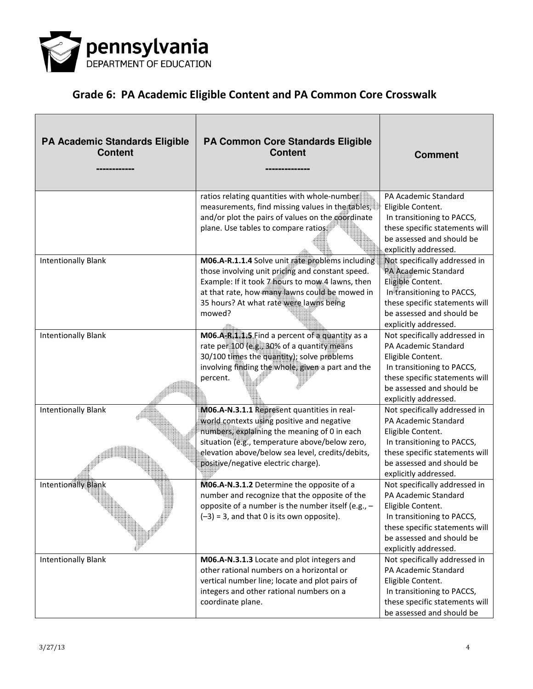

| <b>PA Academic Standards Eligible</b><br><b>Content</b> | PA Common Core Standards Eligible<br><b>Content</b>                                                                                                                                                                                                                                    | <b>Comment</b>                                                                                                                                                                                   |
|---------------------------------------------------------|----------------------------------------------------------------------------------------------------------------------------------------------------------------------------------------------------------------------------------------------------------------------------------------|--------------------------------------------------------------------------------------------------------------------------------------------------------------------------------------------------|
|                                                         | ratios relating quantities with whole-number<br>measurements, find missing values in the tables,<br>and/or plot the pairs of values on the coordinate<br>plane. Use tables to compare ratios                                                                                           | PA Academic Standard<br>Eligible Content.<br>In transitioning to PACCS,<br>these specific statements will<br>be assessed and should be<br>explicitly addressed.                                  |
| <b>Intentionally Blank</b>                              | M06.A-R.1.1.4 Solve unit rate problems including<br>those involving unit pricing and constant speed.<br>Example: If it took 7 hours to mow 4 lawns, then<br>at that rate, how many lawns could be mowed in<br>35 hours? At what rate were lawns being<br>mowed?                        | Not specifically addressed in<br>PA Academic Standard<br>Eligible Content.<br>In transitioning to PACCS,<br>these specific statements will<br>be assessed and should be<br>explicitly addressed. |
| <b>Intentionally Blank</b>                              | M06.A-R.1.1.5 Find a percent of a quantity as a<br>rate per 100 (e.g., 30% of a quantity means<br>30/100 times the quantity); solve problems<br>involving finding the whole, given a part and the<br>percent.                                                                          | Not specifically addressed in<br>PA Academic Standard<br>Eligible Content.<br>In transitioning to PACCS,<br>these specific statements will<br>be assessed and should be<br>explicitly addressed. |
| <b>Intentionally Blank</b>                              | M06.A-N.3.1.1 Represent quantities in real-<br>world contexts using positive and negative<br>numbers, explaining the meaning of 0 in each<br>situation (e.g., temperature above/below zero,<br>elevation above/below sea level, credits/debits,<br>positive/negative electric charge). | Not specifically addressed in<br>PA Academic Standard<br>Eligible Content.<br>In transitioning to PACCS,<br>these specific statements will<br>be assessed and should be<br>explicitly addressed. |
| <b>Intentionally Blank</b>                              | M06.A-N.3.1.2 Determine the opposite of a<br>number and recognize that the opposite of the<br>opposite of a number is the number itself (e.g., -<br>$(-3) = 3$ , and that 0 is its own opposite).                                                                                      | Not specifically addressed in<br>PA Academic Standard<br>Eligible Content.<br>In transitioning to PACCS,<br>these specific statements will<br>be assessed and should be<br>explicitly addressed. |
| <b>Intentionally Blank</b>                              | M06.A-N.3.1.3 Locate and plot integers and<br>other rational numbers on a horizontal or<br>vertical number line; locate and plot pairs of<br>integers and other rational numbers on a<br>coordinate plane.                                                                             | Not specifically addressed in<br>PA Academic Standard<br>Eligible Content.<br>In transitioning to PACCS,<br>these specific statements will<br>be assessed and should be                          |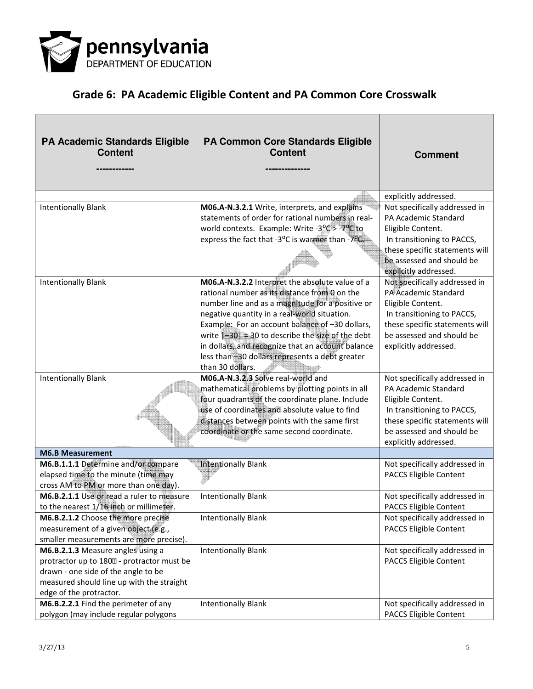

| <b>PA Academic Standards Eligible</b><br><b>Content</b>                                                                                                                                        | <b>PA Common Core Standards Eligible</b><br><b>Content</b>                                                                                                                                                                                                                                                                                                                                                                                 | <b>Comment</b>                                                                                                                                                                                   |
|------------------------------------------------------------------------------------------------------------------------------------------------------------------------------------------------|--------------------------------------------------------------------------------------------------------------------------------------------------------------------------------------------------------------------------------------------------------------------------------------------------------------------------------------------------------------------------------------------------------------------------------------------|--------------------------------------------------------------------------------------------------------------------------------------------------------------------------------------------------|
|                                                                                                                                                                                                |                                                                                                                                                                                                                                                                                                                                                                                                                                            | explicitly addressed.                                                                                                                                                                            |
| <b>Intentionally Blank</b>                                                                                                                                                                     | M06.A-N.3.2.1 Write, interprets, and explains<br>statements of order for rational numbers in real-<br>world contexts. Example: Write -3% > -7% to<br>express the fact that -3°C is warmer than -7°C.                                                                                                                                                                                                                                       | Not specifically addressed in<br>PA Academic Standard<br>Eligible Content.<br>In transitioning to PACCS,<br>these specific statements will<br>be assessed and should be<br>explicitly addressed. |
| <b>Intentionally Blank</b>                                                                                                                                                                     | M06.A-N.3.2.2 Interpret the absolute value of a<br>rational number as its distance from 0 on the<br>number line and as a magnitude for a positive or<br>negative quantity in a real-world situation.<br>Example: For an account balance of -30 dollars,<br>write $[-30] = 30$ to describe the size of the debt<br>in dollars, and recognize that an account balance<br>less than -30 dollars represents a debt greater<br>than 30 dollars. | Not specifically addressed in<br>PA Academic Standard<br>Eligible Content.<br>In transitioning to PACCS,<br>these specific statements will<br>be assessed and should be<br>explicitly addressed. |
| <b>Intentionally Blank</b>                                                                                                                                                                     | M06.A-N.3.2.3 Solve real-world and<br>mathematical problems by plotting points in all<br>four quadrants of the coordinate plane. Include<br>use of coordinates and absolute value to find<br>distances between points with the same first<br>coordinate or the same second coordinate.                                                                                                                                                     | Not specifically addressed in<br>PA Academic Standard<br>Eligible Content.<br>In transitioning to PACCS,<br>these specific statements will<br>be assessed and should be<br>explicitly addressed. |
| <b>M6.B Measurement</b>                                                                                                                                                                        |                                                                                                                                                                                                                                                                                                                                                                                                                                            |                                                                                                                                                                                                  |
| M6.B.1.1.1 Determine and/or compare<br>elapsed time to the minute (time may<br>cross AM to PM or more than one day).                                                                           | Intentionally Blank                                                                                                                                                                                                                                                                                                                                                                                                                        | Not specifically addressed in<br>PACCS Eligible Content                                                                                                                                          |
| M6.B.2.1.1 Use or read a ruler to measure<br>to the nearest 1/16 inch or millimeter.                                                                                                           | <b>Intentionally Blank</b>                                                                                                                                                                                                                                                                                                                                                                                                                 | Not specifically addressed in<br>PACCS Eligible Content                                                                                                                                          |
| M6.B.2.1.2 Choose the more precise<br>measurement of a given object (e.g.,<br>smaller measurements are more precise).                                                                          | <b>Intentionally Blank</b>                                                                                                                                                                                                                                                                                                                                                                                                                 | Not specifically addressed in<br>PACCS Eligible Content                                                                                                                                          |
| M6.B.2.1.3 Measure angles using a<br>protractor up to 1802 - protractor must be<br>drawn - one side of the angle to be<br>measured should line up with the straight<br>edge of the protractor. | <b>Intentionally Blank</b>                                                                                                                                                                                                                                                                                                                                                                                                                 | Not specifically addressed in<br>PACCS Eligible Content                                                                                                                                          |
| M6.B.2.2.1 Find the perimeter of any<br>polygon (may include regular polygons                                                                                                                  | <b>Intentionally Blank</b>                                                                                                                                                                                                                                                                                                                                                                                                                 | Not specifically addressed in<br>PACCS Eligible Content                                                                                                                                          |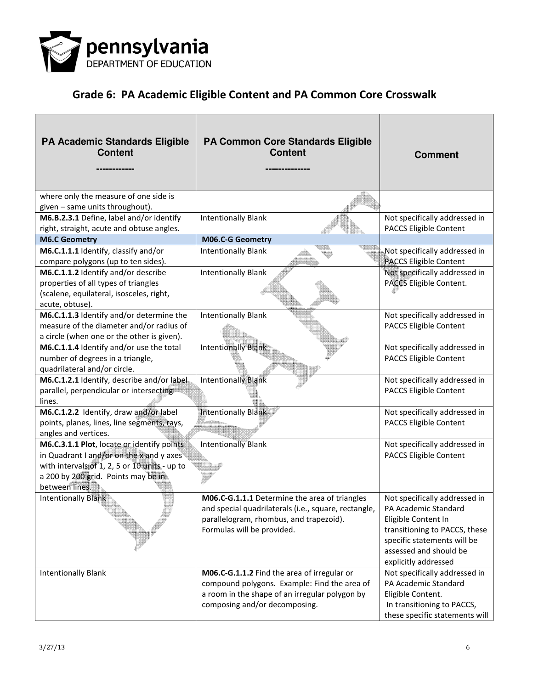

| <b>PA Academic Standards Eligible</b><br><b>Content</b>                                                                                                                                           | PA Common Core Standards Eligible<br><b>Content</b>                                                                                                                            | <b>Comment</b>                                                                                                                                                                                 |
|---------------------------------------------------------------------------------------------------------------------------------------------------------------------------------------------------|--------------------------------------------------------------------------------------------------------------------------------------------------------------------------------|------------------------------------------------------------------------------------------------------------------------------------------------------------------------------------------------|
| where only the measure of one side is<br>given - same units throughout).                                                                                                                          |                                                                                                                                                                                |                                                                                                                                                                                                |
| M6.B.2.3.1 Define, label and/or identify<br>right, straight, acute and obtuse angles.                                                                                                             | <b>Intentionally Blank</b>                                                                                                                                                     | Not specifically addressed in<br>PACCS Eligible Content                                                                                                                                        |
| <b>M6.C Geometry</b>                                                                                                                                                                              | M06.C-G Geometry                                                                                                                                                               |                                                                                                                                                                                                |
| M6.C.1.1.1 Identify, classify and/or<br>compare polygons (up to ten sides).                                                                                                                       | <b>Intentionally Blank</b>                                                                                                                                                     | Not specifically addressed in<br>PACCS Eligible Content                                                                                                                                        |
| M6.C.1.1.2 Identify and/or describe<br>properties of all types of triangles<br>(scalene, equilateral, isosceles, right,<br>acute, obtuse).                                                        | <b>Intentionally Blank</b>                                                                                                                                                     | Not specifically addressed in<br>PACCS Eligible Content.                                                                                                                                       |
| M6.C.1.1.3 Identify and/or determine the<br>measure of the diameter and/or radius of<br>a circle (when one or the other is given).                                                                | <b>Intentionally Blank</b>                                                                                                                                                     | Not specifically addressed in<br>PACCS Eligible Content                                                                                                                                        |
| M6.C.1.1.4 Identify and/or use the total<br>number of degrees in a triangle,<br>quadrilateral and/or circle.                                                                                      | <b>Intentionally Blank</b>                                                                                                                                                     | Not specifically addressed in<br>PACCS Eligible Content                                                                                                                                        |
| M6.C.1.2.1 Identify, describe and/or label<br>parallel, perpendicular or intersecting<br>lines.                                                                                                   | <b>Intentionally Blank</b>                                                                                                                                                     | Not specifically addressed in<br>PACCS Eligible Content                                                                                                                                        |
| M6.C.1.2.2 Identify, draw and/or label<br>points, planes, lines, line segments, rays,<br>angles and vertices.                                                                                     | <b>Intentionally Blank</b>                                                                                                                                                     | Not specifically addressed in<br>PACCS Eligible Content                                                                                                                                        |
| M6.C.3.1.1 Plot, locate or identify points<br>in Quadrant I and/or on the x and y axes<br>with intervals of 1, 2, 5 or 10 units - up to<br>a 200 by 200 grid. Points may be in-<br>between lines. | <b>Intentionally Blank</b>                                                                                                                                                     | Not specifically addressed in<br>PACCS Eligible Content                                                                                                                                        |
| Intentionally Blank                                                                                                                                                                               | M06.C-G.1.1.1 Determine the area of triangles<br>and special quadrilaterals (i.e., square, rectangle,<br>parallelogram, rhombus, and trapezoid).<br>Formulas will be provided. | Not specifically addressed in<br>PA Academic Standard<br>Eligible Content In<br>transitioning to PACCS, these<br>specific statements will be<br>assessed and should be<br>explicitly addressed |
| <b>Intentionally Blank</b>                                                                                                                                                                        | M06.C-G.1.1.2 Find the area of irregular or<br>compound polygons. Example: Find the area of<br>a room in the shape of an irregular polygon by<br>composing and/or decomposing. | Not specifically addressed in<br>PA Academic Standard<br>Eligible Content.<br>In transitioning to PACCS,<br>these specific statements will                                                     |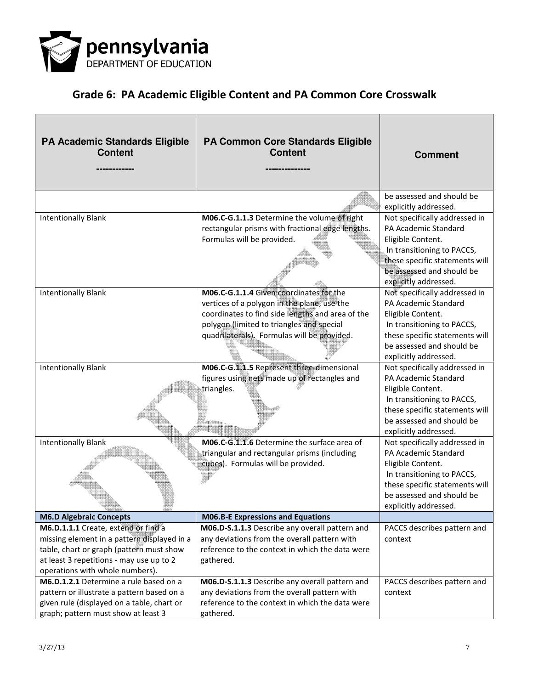

| <b>PA Academic Standards Eligible</b><br><b>Content</b>                                                                                                                                                       | <b>PA Common Core Standards Eligible</b><br><b>Content</b>                                                                                                                              | <b>Comment</b>                                                                                                                                                                                   |
|---------------------------------------------------------------------------------------------------------------------------------------------------------------------------------------------------------------|-----------------------------------------------------------------------------------------------------------------------------------------------------------------------------------------|--------------------------------------------------------------------------------------------------------------------------------------------------------------------------------------------------|
|                                                                                                                                                                                                               |                                                                                                                                                                                         | be assessed and should be                                                                                                                                                                        |
| <b>Intentionally Blank</b>                                                                                                                                                                                    | M06.C-G.1.1.3 Determine the volume of right<br>rectangular prisms with fractional edge lengths.<br>Formulas will be provided.                                                           | explicitly addressed.<br>Not specifically addressed in<br>PA Academic Standard<br>Eligible Content.<br>In transitioning to PACCS,<br>these specific statements will<br>be assessed and should be |
| <b>Intentionally Blank</b>                                                                                                                                                                                    | M06.C-G.1.1.4 Given coordinates for the<br>vertices of a polygon in the plane, use the<br>coordinates to find side lengths and area of the<br>polygon (limited to triangles and special | explicitly addressed.<br>Not specifically addressed in<br>PA Academic Standard<br>Eligible Content.<br>In transitioning to PACCS,                                                                |
|                                                                                                                                                                                                               | quadrilaterals). Formulas will be provided.                                                                                                                                             | these specific statements will<br>be assessed and should be<br>explicitly addressed.                                                                                                             |
| <b>Intentionally Blank</b>                                                                                                                                                                                    | M06.C-G.1.1.5 Represent three-dimensional<br>figures using nets made up of rectangles and<br>triangles.                                                                                 | Not specifically addressed in<br>PA Academic Standard<br>Eligible Content.<br>In transitioning to PACCS,<br>these specific statements will<br>be assessed and should be<br>explicitly addressed. |
| <b>Intentionally Blank</b>                                                                                                                                                                                    | M06.C-G.1.1.6 Determine the surface area of<br>triangular and rectangular prisms (including<br>cubes). Formulas will be provided.                                                       | Not specifically addressed in<br>PA Academic Standard<br>Eligible Content.<br>In transitioning to PACCS,<br>these specific statements will<br>be assessed and should be<br>explicitly addressed. |
| <b>M6.D Algebraic Concepts</b>                                                                                                                                                                                | <b>M06.B-E Expressions and Equations</b>                                                                                                                                                |                                                                                                                                                                                                  |
| M6.D.1.1.1 Create, extend or find a<br>missing element in a pattern displayed in a<br>table, chart or graph (pattern must show<br>at least 3 repetitions - may use up to 2<br>operations with whole numbers). | M06.D-S.1.1.3 Describe any overall pattern and<br>any deviations from the overall pattern with<br>reference to the context in which the data were<br>gathered.                          | PACCS describes pattern and<br>context                                                                                                                                                           |
| M6.D.1.2.1 Determine a rule based on a<br>pattern or illustrate a pattern based on a<br>given rule (displayed on a table, chart or<br>graph; pattern must show at least 3                                     | M06.D-S.1.1.3 Describe any overall pattern and<br>any deviations from the overall pattern with<br>reference to the context in which the data were<br>gathered.                          | PACCS describes pattern and<br>context                                                                                                                                                           |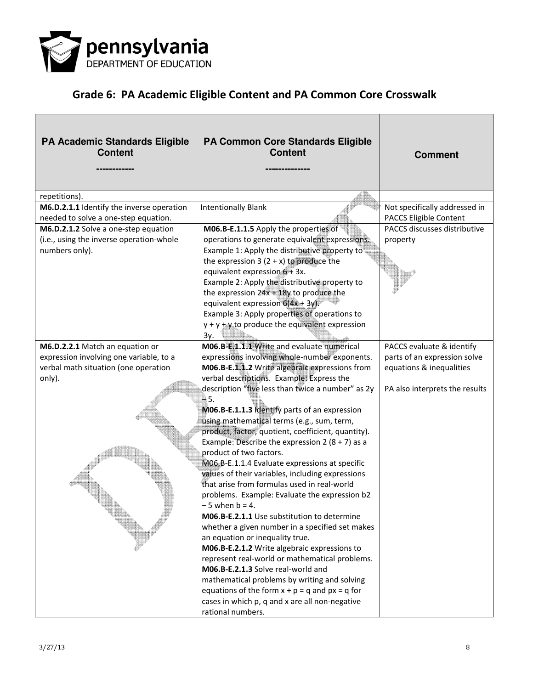

| <b>PA Academic Standards Eligible</b><br><b>Content</b> | PA Common Core Standards Eligible<br><b>Content</b>                                              | <b>Comment</b>                 |
|---------------------------------------------------------|--------------------------------------------------------------------------------------------------|--------------------------------|
| repetitions).                                           |                                                                                                  |                                |
| M6.D.2.1.1 Identify the inverse operation               | <b>Intentionally Blank</b>                                                                       | Not specifically addressed in  |
| needed to solve a one-step equation.                    |                                                                                                  | PACCS Eligible Content         |
| M6.D.2.1.2 Solve a one-step equation                    | M06.B-E.1.1.5 Apply the properties of                                                            | PACCS discusses distributive   |
| (i.e., using the inverse operation-whole                | operations to generate equivalent expressions.                                                   | property                       |
| numbers only).                                          | Example 1: Apply the distributive property to                                                    |                                |
|                                                         | the expression 3 $(2 + x)$ to produce the                                                        |                                |
|                                                         | equivalent expression $6 + 3x$ .                                                                 |                                |
|                                                         | Example 2: Apply the distributive property to                                                    |                                |
|                                                         | the expression $24x + 18y$ to produce the                                                        |                                |
|                                                         | equivalent expression $6(4x + 3y)$                                                               |                                |
|                                                         | Example 3: Apply properties of operations to<br>$y + y + y$ to produce the equivalent expression |                                |
|                                                         | Зγ.                                                                                              |                                |
| M6.D.2.2.1 Match an equation or                         | M06.B-E.1.1.1 Write and evaluate numerical                                                       | PACCS evaluate & identify      |
| expression involving one variable, to a                 | expressions involving whole-number exponents.                                                    | parts of an expression solve   |
| verbal math situation (one operation                    | M06.B-E.1.1.2 Write algebraic expressions from                                                   | equations & inequalities       |
| only).                                                  | verbal descriptions. Example: Express the                                                        |                                |
|                                                         | description "five less than twice a number" as 2y                                                | PA also interprets the results |
|                                                         | - 5.                                                                                             |                                |
|                                                         | M06.B-E.1.1.3 Identify parts of an expression                                                    |                                |
|                                                         | using mathematical terms (e.g., sum, term,                                                       |                                |
|                                                         | product, factor, quotient, coefficient, quantity).                                               |                                |
|                                                         | Example: Describe the expression 2 (8 + 7) as a                                                  |                                |
|                                                         | product of two factors.                                                                          |                                |
|                                                         | MO6.B-E.1.1.4 Evaluate expressions at specific                                                   |                                |
|                                                         | values of their variables, including expressions                                                 |                                |
|                                                         | that arise from formulas used in real-world                                                      |                                |
|                                                         | problems. Example: Evaluate the expression b2<br>- 5 when b = 4.                                 |                                |
|                                                         | M06.B-E.2.1.1 Use substitution to determine                                                      |                                |
|                                                         | whether a given number in a specified set makes                                                  |                                |
|                                                         | an equation or inequality true.                                                                  |                                |
|                                                         | M06.B-E.2.1.2 Write algebraic expressions to                                                     |                                |
|                                                         | represent real-world or mathematical problems.                                                   |                                |
|                                                         | M06.B-E.2.1.3 Solve real-world and                                                               |                                |
|                                                         | mathematical problems by writing and solving                                                     |                                |
|                                                         | equations of the form $x + p = q$ and $px = q$ for                                               |                                |
|                                                         | cases in which p, q and x are all non-negative                                                   |                                |
|                                                         | rational numbers.                                                                                |                                |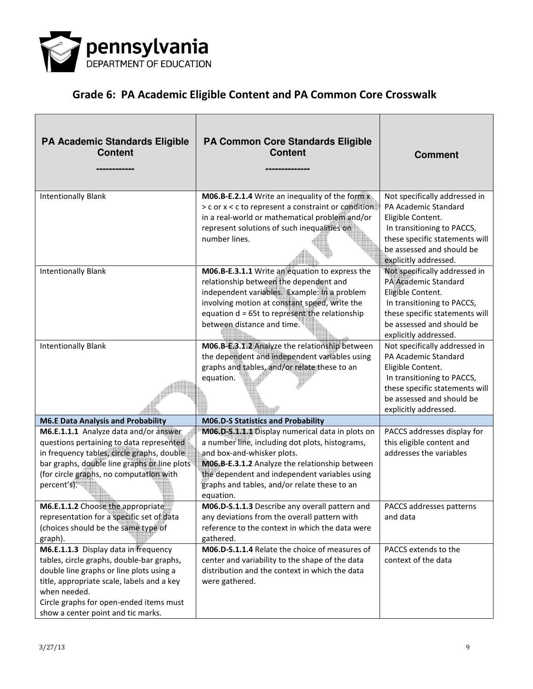

| <b>PA Academic Standards Eligible</b><br><b>Content</b>                                                                                                                                                                                                                      | <b>PA Common Core Standards Eligible</b><br><b>Content</b>                                                                                                                                                                                                                                        | <b>Comment</b>                                                                                                                                                                                   |
|------------------------------------------------------------------------------------------------------------------------------------------------------------------------------------------------------------------------------------------------------------------------------|---------------------------------------------------------------------------------------------------------------------------------------------------------------------------------------------------------------------------------------------------------------------------------------------------|--------------------------------------------------------------------------------------------------------------------------------------------------------------------------------------------------|
| <b>Intentionally Blank</b>                                                                                                                                                                                                                                                   | M06.B-E.2.1.4 Write an inequality of the form x<br>> c or x < c to represent a constraint or condition<br>in a real-world or mathematical problem and/or<br>represent solutions of such inequalities on<br>number lines.                                                                          | Not specifically addressed in<br>PA Academic Standard<br>Eligible Content.<br>In transitioning to PACCS,<br>these specific statements will<br>be assessed and should be<br>explicitly addressed. |
| <b>Intentionally Blank</b>                                                                                                                                                                                                                                                   | M06.B-E.3.1.1 Write an equation to express the<br>relationship between the dependent and<br>independent variables. Example: In a problem<br>involving motion at constant speed, write the<br>equation d = 65t to represent the relationship<br>between distance and time.                         | Not specifically addressed in<br>PA Academic Standard<br>Eligible Content.<br>In transitioning to PACCS,<br>these specific statements will<br>be assessed and should be<br>explicitly addressed. |
| <b>Intentionally Blank</b>                                                                                                                                                                                                                                                   | M06.B-E.3.1.2 Analyze the relationship between<br>the dependent and independent variables using<br>graphs and tables, and/or relate these to an<br>equation.                                                                                                                                      | Not specifically addressed in<br>PA Academic Standard<br>Eligible Content.<br>In transitioning to PACCS,<br>these specific statements will<br>be assessed and should be<br>explicitly addressed. |
| <b>M6.E Data Analysis and Probability</b>                                                                                                                                                                                                                                    | M06.D-S Statistics and Probability                                                                                                                                                                                                                                                                |                                                                                                                                                                                                  |
| M6.E.1.1.1 Analyze data and/or answer<br>questions pertaining to data represented<br>in frequency tables, circle graphs, double<br>bar graphs, double line graphs or line plots<br>(for circle graphs, no computation with<br>percent's).                                    | M06.D-S.1.1.1 Display numerical data in plots on<br>a number line, including dot plots, histograms,<br>and box-and-whisker plots.<br>MO6.B-E.3.1.2 Analyze the relationship between<br>the dependent and independent variables using<br>graphs and tables, and/or relate these to an<br>equation. | PACCS addresses display for<br>this eligible content and<br>addresses the variables                                                                                                              |
| M6.E.1.1.2 Choose the appropriate<br>representation for a specific set of data<br>(choices should be the same type of<br>graph).                                                                                                                                             | M06.D-S.1.1.3 Describe any overall pattern and<br>any deviations from the overall pattern with<br>reference to the context in which the data were<br>gathered.                                                                                                                                    | PACCS addresses patterns<br>and data                                                                                                                                                             |
| M6.E.1.1.3 Display data in frequency<br>tables, circle graphs, double-bar graphs,<br>double line graphs or line plots using a<br>title, appropriate scale, labels and a key<br>when needed.<br>Circle graphs for open-ended items must<br>show a center point and tic marks. | M06.D-S.1.1.4 Relate the choice of measures of<br>center and variability to the shape of the data<br>distribution and the context in which the data<br>were gathered.                                                                                                                             | PACCS extends to the<br>context of the data                                                                                                                                                      |